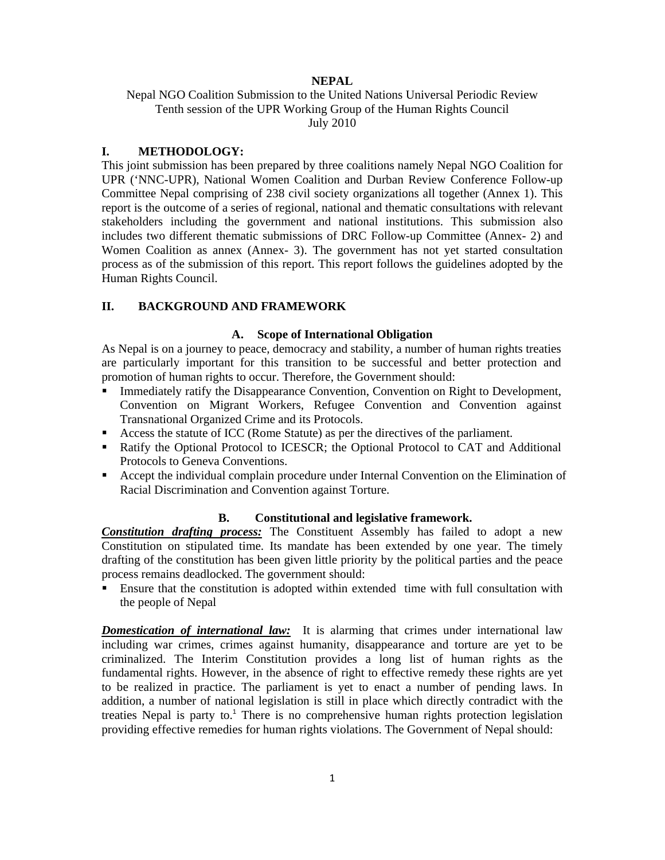## **NEPAL**

Nepal NGO Coalition Submission to the United Nations Universal Periodic Review Tenth session of the UPR Working Group of the Human Rights Council July 2010

## **I. METHODOLOGY:**

This joint submission has been prepared by three coalitions namely Nepal NGO Coalition for UPR ('NNC-UPR), National Women Coalition and Durban Review Conference Follow-up Committee Nepal comprising of 238 civil society organizations all together (Annex 1). This report is the outcome of a series of regional, national and thematic consultations with relevant stakeholders including the government and national institutions. This submission also includes two different thematic submissions of DRC Follow-up Committee (Annex- 2) and Women Coalition as annex (Annex- 3). The government has not yet started consultation process as of the submission of this report. This report follows the guidelines adopted by the Human Rights Council.

# **II. BACKGROUND AND FRAMEWORK**

## **A. Scope of International Obligation**

As Nepal is on a journey to peace, democracy and stability, a number of human rights treaties are particularly important for this transition to be successful and better protection and promotion of human rights to occur. Therefore, the Government should:

- **Immediately ratify the Disappearance Convention, Convention on Right to Development,** Convention on Migrant Workers, Refugee Convention and Convention against Transnational Organized Crime and its Protocols.
- Access the statute of ICC (Rome Statute) as per the directives of the parliament.
- Ratify the Optional Protocol to ICESCR; the Optional Protocol to CAT and Additional Protocols to Geneva Conventions.
- Accept the individual complain procedure under Internal Convention on the Elimination of Racial Discrimination and Convention against Torture.

## **B. Constitutional and legislative framework.**

*Constitution drafting process:* The Constituent Assembly has failed to adopt a new Constitution on stipulated time. Its mandate has been extended by one year. The timely drafting of the constitution has been given little priority by the political parties and the peace process remains deadlocked. The government should:

 Ensure that the constitution is adopted within extended time with full consultation with the people of Nepal

*Domestication of international law:* It is alarming that crimes under international law including war crimes, crimes against humanity, disappearance and torture are yet to be criminalized. The Interim Constitution provides a long list of human rights as the fundamental rights. However, in the absence of right to effective remedy these rights are yet to be realized in practice. The parliament is yet to enact a number of pending laws. In addition, a number of national legislation is still in place which directly contradict with the treaties Nepal is party to.<sup>1</sup> There is no comprehensive human rights protection legislation providing effective remedies for human rights violations. The Government of Nepal should: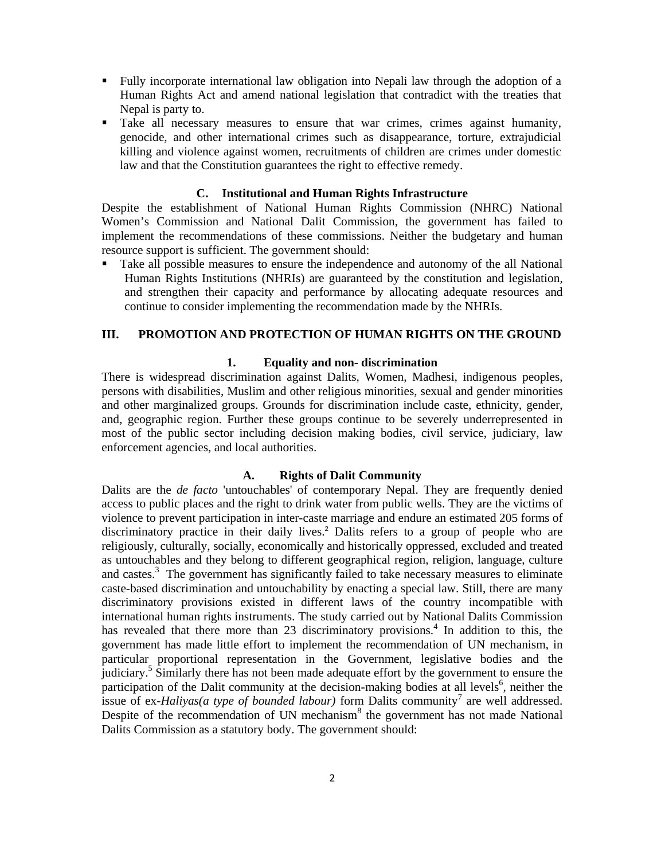- Fully incorporate international law obligation into Nepali law through the adoption of a Human Rights Act and amend national legislation that contradict with the treaties that Nepal is party to.
- Take all necessary measures to ensure that war crimes, crimes against humanity, genocide, and other international crimes such as disappearance, torture, extrajudicial killing and violence against women, recruitments of children are crimes under domestic law and that the Constitution guarantees the right to effective remedy.

#### **C. Institutional and Human Rights Infrastructure**

Despite the establishment of National Human Rights Commission (NHRC) National Women's Commission and National Dalit Commission, the government has failed to implement the recommendations of these commissions. Neither the budgetary and human resource support is sufficient. The government should:

 Take all possible measures to ensure the independence and autonomy of the all National Human Rights Institutions (NHRIs) are guaranteed by the constitution and legislation, and strengthen their capacity and performance by allocating adequate resources and continue to consider implementing the recommendation made by the NHRIs.

## **III. PROMOTION AND PROTECTION OF HUMAN RIGHTS ON THE GROUND**

#### **1. Equality and non- discrimination**

There is widespread discrimination against Dalits, Women, Madhesi, indigenous peoples, persons with disabilities, Muslim and other religious minorities, sexual and gender minorities and other marginalized groups. Grounds for discrimination include caste, ethnicity, gender, and, geographic region. Further these groups continue to be severely underrepresented in most of the public sector including decision making bodies, civil service, judiciary, law enforcement agencies, and local authorities.

#### **A. Rights of Dalit Community**

Dalits are the *de facto* 'untouchables' of contemporary Nepal. They are frequently denied access to public places and the right to drink water from public wells. They are the victims of violence to prevent participation in inter-caste marriage and endure an estimated 205 forms of discriminatory practice in their daily lives.<sup>2</sup> Dalits refers to a group of people who are religiously, culturally, socially, economically and historically oppressed, excluded and treated as untouchables and they belong to different geographical region, religion, language, culture and castes.<sup>3</sup> The government has significantly failed to take necessary measures to eliminate caste-based discrimination and untouchability by enacting a special law. Still, there are many discriminatory provisions existed in different laws of the country incompatible with international human rights instruments. The study carried out by National Dalits Commission has revealed that there more than 23 discriminatory provisions.<sup>4</sup> In addition to this, the government has made little effort to implement the recommendation of UN mechanism, in particular proportional representation in the Government, legislative bodies and the judiciary.<sup>5</sup> Similarly there has not been made adequate effort by the government to ensure the participation of the Dalit community at the decision-making bodies at all levels<sup>6</sup>, neither the issue of ex-*Haliyas(a type of bounded labour)* form Dalits community<sup>7</sup> are well addressed. Despite of the recommendation of UN mechanism<sup>8</sup> the government has not made National Dalits Commission as a statutory body. The government should: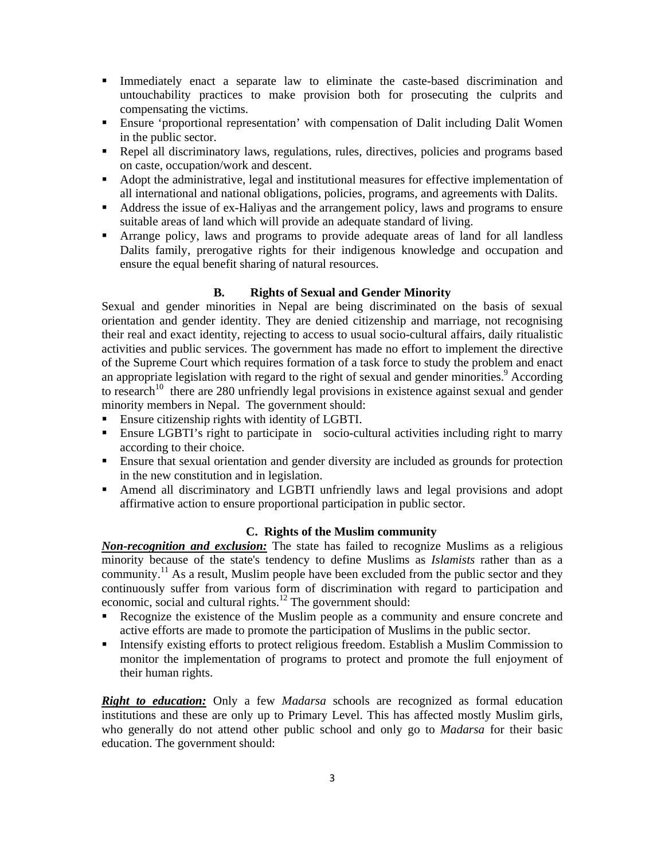- Immediately enact a separate law to eliminate the caste-based discrimination and untouchability practices to make provision both for prosecuting the culprits and compensating the victims.
- Ensure 'proportional representation' with compensation of Dalit including Dalit Women in the public sector.
- Repel all discriminatory laws, regulations, rules, directives, policies and programs based on caste, occupation/work and descent.
- Adopt the administrative, legal and institutional measures for effective implementation of all international and national obligations, policies, programs, and agreements with Dalits.
- Address the issue of ex-Haliyas and the arrangement policy, laws and programs to ensure suitable areas of land which will provide an adequate standard of living.
- Arrange policy, laws and programs to provide adequate areas of land for all landless Dalits family, prerogative rights for their indigenous knowledge and occupation and ensure the equal benefit sharing of natural resources.

## **B. Rights of Sexual and Gender Minority**

Sexual and gender minorities in Nepal are being discriminated on the basis of sexual orientation and gender identity. They are denied citizenship and marriage, not recognising their real and exact identity, rejecting to access to usual socio-cultural affairs, daily ritualistic activities and public services. The government has made no effort to implement the directive of the Supreme Court which requires formation of a task force to study the problem and enact an appropriate legislation with regard to the right of sexual and gender minorities.<sup>9</sup> According to research<sup>10</sup> there are 280 unfriendly legal provisions in existence against sexual and gender minority members in Nepal. The government should:

- **Ensure citizenship rights with identity of LGBTI.**
- Ensure LGBTI's right to participate in socio-cultural activities including right to marry according to their choice.
- Ensure that sexual orientation and gender diversity are included as grounds for protection in the new constitution and in legislation.
- Amend all discriminatory and LGBTI unfriendly laws and legal provisions and adopt affirmative action to ensure proportional participation in public sector.

## **C. Rights of the Muslim community**

*Non-recognition and exclusion:* The state has failed to recognize Muslims as a religious minority because of the state's tendency to define Muslims as *Islamists* rather than as a community.<sup>11</sup> As a result, Muslim people have been excluded from the public sector and they continuously suffer from various form of discrimination with regard to participation and economic, social and cultural rights.<sup>12</sup> The government should:

- Recognize the existence of the Muslim people as a community and ensure concrete and active efforts are made to promote the participation of Muslims in the public sector.
- Intensify existing efforts to protect religious freedom. Establish a Muslim Commission to monitor the implementation of programs to protect and promote the full enjoyment of their human rights.

*Right to education:* Only a few *Madarsa* schools are recognized as formal education institutions and these are only up to Primary Level. This has affected mostly Muslim girls, who generally do not attend other public school and only go to *Madarsa* for their basic education. The government should: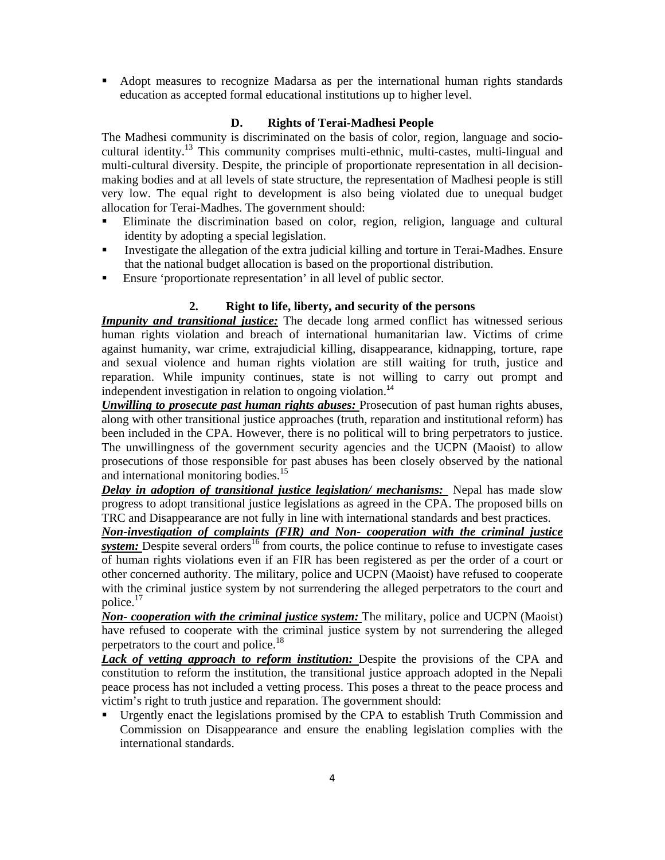Adopt measures to recognize Madarsa as per the international human rights standards education as accepted formal educational institutions up to higher level.

# **D. Rights of Terai-Madhesi People**

The Madhesi community is discriminated on the basis of color, region, language and sociocultural identity.13 This community comprises multi-ethnic, multi-castes, multi-lingual and multi-cultural diversity. Despite, the principle of proportionate representation in all decisionmaking bodies and at all levels of state structure, the representation of Madhesi people is still very low. The equal right to development is also being violated due to unequal budget allocation for Terai-Madhes. The government should:

- Eliminate the discrimination based on color, region, religion, language and cultural identity by adopting a special legislation.
- Investigate the allegation of the extra judicial killing and torture in Terai-Madhes. Ensure that the national budget allocation is based on the proportional distribution.
- Ensure 'proportionate representation' in all level of public sector.

## **2. Right to life, liberty, and security of the persons**

*Impunity and transitional justice:* The decade long armed conflict has witnessed serious human rights violation and breach of international humanitarian law. Victims of crime against humanity, war crime, extrajudicial killing, disappearance, kidnapping, torture, rape and sexual violence and human rights violation are still waiting for truth, justice and reparation. While impunity continues, state is not willing to carry out prompt and independent investigation in relation to ongoing violation.<sup>14</sup>

*Unwilling to prosecute past human rights abuses:* Prosecution of past human rights abuses, along with other transitional justice approaches (truth, reparation and institutional reform) has been included in the CPA. However, there is no political will to bring perpetrators to justice. The unwillingness of the government security agencies and the UCPN (Maoist) to allow prosecutions of those responsible for past abuses has been closely observed by the national and international monitoring bodies.<sup>15</sup>

*Delay in adoption of transitional justice legislation/ mechanisms:* Nepal has made slow progress to adopt transitional justice legislations as agreed in the CPA. The proposed bills on TRC and Disappearance are not fully in line with international standards and best practices.

*Non-investigation of complaints (FIR) and Non- cooperation with the criminal justice*  **system:** Despite several orders<sup>16</sup> from courts, the police continue to refuse to investigate cases of human rights violations even if an FIR has been registered as per the order of a court or other concerned authority. The military, police and UCPN (Maoist) have refused to cooperate with the criminal justice system by not surrendering the alleged perpetrators to the court and police.17

*Non- cooperation with the criminal justice system:* The military, police and UCPN (Maoist) have refused to cooperate with the criminal justice system by not surrendering the alleged perpetrators to the court and police.<sup>18</sup>

Lack of vetting approach to reform institution: Despite the provisions of the CPA and constitution to reform the institution, the transitional justice approach adopted in the Nepali peace process has not included a vetting process. This poses a threat to the peace process and victim's right to truth justice and reparation. The government should:

 Urgently enact the legislations promised by the CPA to establish Truth Commission and Commission on Disappearance and ensure the enabling legislation complies with the international standards.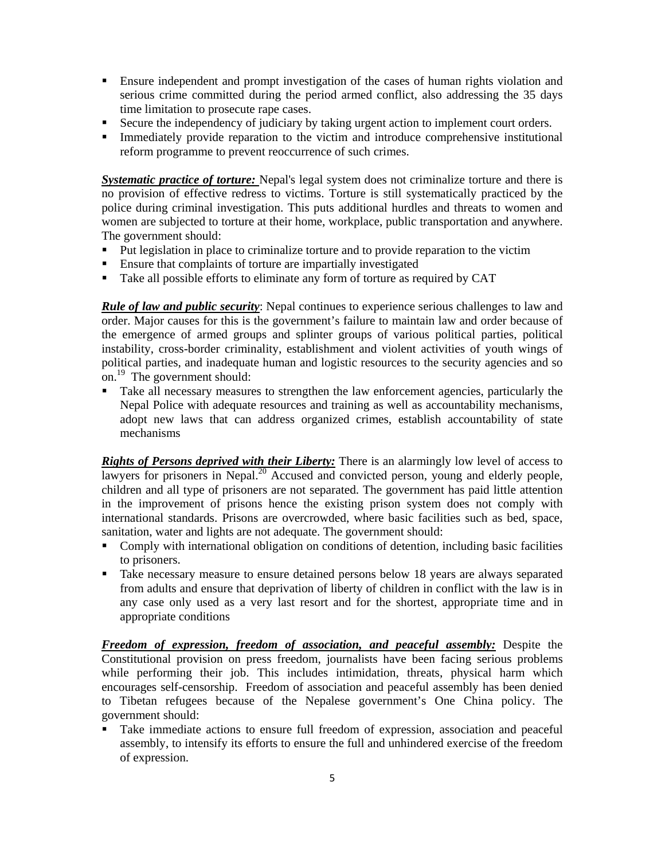- Ensure independent and prompt investigation of the cases of human rights violation and serious crime committed during the period armed conflict, also addressing the 35 days time limitation to prosecute rape cases.
- Secure the independency of judiciary by taking urgent action to implement court orders.
- Immediately provide reparation to the victim and introduce comprehensive institutional reform programme to prevent reoccurrence of such crimes.

*Systematic practice of torture:* Nepal's legal system does not criminalize torture and there is no provision of effective redress to victims. Torture is still systematically practiced by the police during criminal investigation. This puts additional hurdles and threats to women and women are subjected to torture at their home, workplace, public transportation and anywhere. The government should:

- Put legislation in place to criminalize torture and to provide reparation to the victim
- Ensure that complaints of torture are impartially investigated
- Take all possible efforts to eliminate any form of torture as required by CAT

*Rule of law and public security*: Nepal continues to experience serious challenges to law and order. Major causes for this is the government's failure to maintain law and order because of the emergence of armed groups and splinter groups of various political parties, political instability, cross-border criminality, establishment and violent activities of youth wings of political parties, and inadequate human and logistic resources to the security agencies and so on.19 The government should:

 Take all necessary measures to strengthen the law enforcement agencies, particularly the Nepal Police with adequate resources and training as well as accountability mechanisms, adopt new laws that can address organized crimes, establish accountability of state mechanisms

*Rights of Persons deprived with their Liberty:* There is an alarmingly low level of access to lawyers for prisoners in Nepal.<sup>20</sup> Accused and convicted person, young and elderly people, children and all type of prisoners are not separated. The government has paid little attention in the improvement of prisons hence the existing prison system does not comply with international standards. Prisons are overcrowded, where basic facilities such as bed, space, sanitation, water and lights are not adequate. The government should:

- Comply with international obligation on conditions of detention, including basic facilities to prisoners.
- Take necessary measure to ensure detained persons below 18 years are always separated from adults and ensure that deprivation of liberty of children in conflict with the law is in any case only used as a very last resort and for the shortest, appropriate time and in appropriate conditions

*Freedom of expression, freedom of association, and peaceful assembly:* Despite the Constitutional provision on press freedom, journalists have been facing serious problems while performing their job. This includes intimidation, threats, physical harm which encourages self-censorship. Freedom of association and peaceful assembly has been denied to Tibetan refugees because of the Nepalese government's One China policy. The government should:

 Take immediate actions to ensure full freedom of expression, association and peaceful assembly, to intensify its efforts to ensure the full and unhindered exercise of the freedom of expression.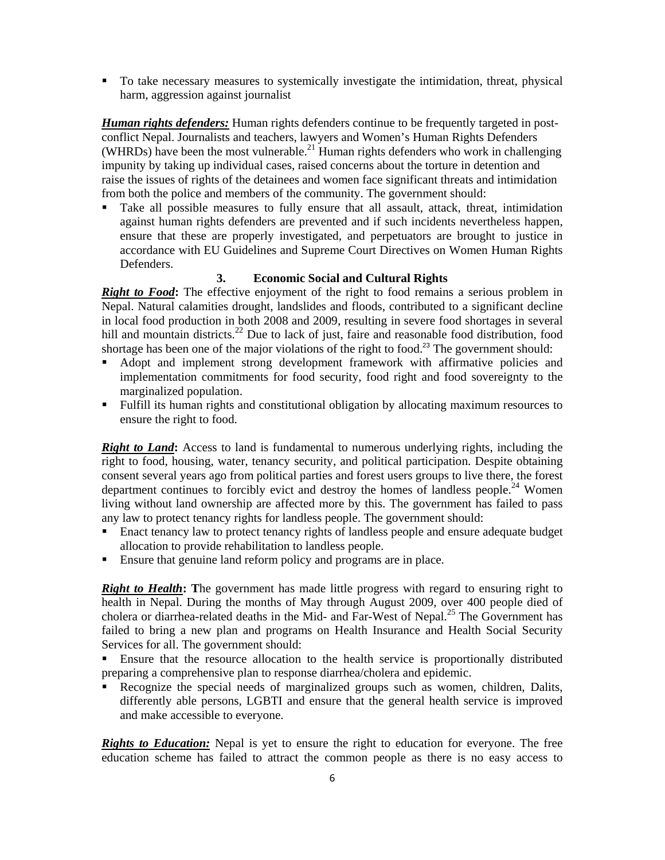To take necessary measures to systemically investigate the intimidation, threat, physical harm, aggression against journalist

*Human rights defenders:* Human rights defenders continue to be frequently targeted in postconflict Nepal. Journalists and teachers, lawyers and Women's Human Rights Defenders (WHRDs) have been the most vulnerable.<sup>21</sup> Human rights defenders who work in challenging impunity by taking up individual cases, raised concerns about the torture in detention and raise the issues of rights of the detainees and women face significant threats and intimidation from both the police and members of the community. The government should:

 Take all possible measures to fully ensure that all assault, attack, threat, intimidation against human rights defenders are prevented and if such incidents nevertheless happen, ensure that these are properly investigated, and perpetuators are brought to justice in accordance with EU Guidelines and Supreme Court Directives on Women Human Rights Defenders.

## **3. Economic Social and Cultural Rights**

**Right to Food:** The effective enjoyment of the right to food remains a serious problem in Nepal. Natural calamities drought, landslides and floods, contributed to a significant decline in local food production in both 2008 and 2009, resulting in severe food shortages in several hill and mountain districts.<sup>22</sup> Due to lack of just, faire and reasonable food distribution, food shortage has been one of the major violations of the right to food.<sup>23</sup> The government should:

- Adopt and implement strong development framework with affirmative policies and implementation commitments for food security, food right and food sovereignty to the marginalized population.
- Fulfill its human rights and constitutional obligation by allocating maximum resources to ensure the right to food.

**Right to Land:** Access to land is fundamental to numerous underlying rights, including the right to food, housing, water, tenancy security, and political participation. Despite obtaining consent several years ago from political parties and forest users groups to live there, the forest department continues to forcibly evict and destroy the homes of landless people.<sup>24</sup> Women living without land ownership are affected more by this. The government has failed to pass any law to protect tenancy rights for landless people. The government should:

- Enact tenancy law to protect tenancy rights of landless people and ensure adequate budget allocation to provide rehabilitation to landless people.
- Ensure that genuine land reform policy and programs are in place.

*Right to Health***: T**he government has made little progress with regard to ensuring right to health in Nepal. During the months of May through August 2009, over 400 people died of cholera or diarrhea-related deaths in the Mid- and Far-West of Nepal.<sup>25</sup> The Government has failed to bring a new plan and programs on Health Insurance and Health Social Security Services for all. The government should:

 Ensure that the resource allocation to the health service is proportionally distributed preparing a comprehensive plan to response diarrhea/cholera and epidemic.

 Recognize the special needs of marginalized groups such as women, children, Dalits, differently able persons, LGBTI and ensure that the general health service is improved and make accessible to everyone.

*Rights to Education:* Nepal is yet to ensure the right to education for everyone. The free education scheme has failed to attract the common people as there is no easy access to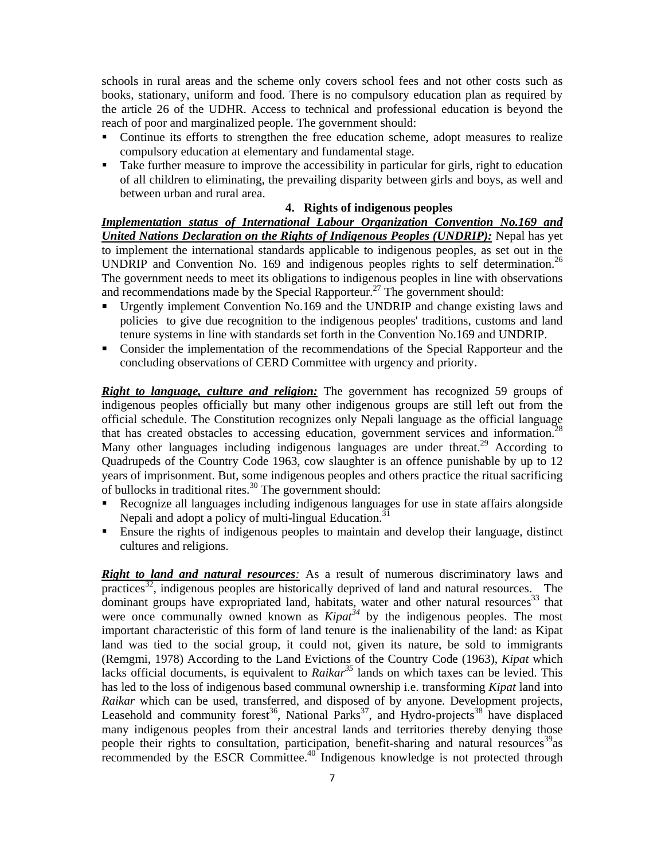schools in rural areas and the scheme only covers school fees and not other costs such as books, stationary, uniform and food. There is no compulsory education plan as required by the article 26 of the UDHR. Access to technical and professional education is beyond the reach of poor and marginalized people. The government should:

- Continue its efforts to strengthen the free education scheme, adopt measures to realize compulsory education at elementary and fundamental stage.
- Take further measure to improve the accessibility in particular for girls, right to education of all children to eliminating, the prevailing disparity between girls and boys, as well and between urban and rural area.

#### **4. Rights of indigenous peoples**

*Implementation status of International Labour Organization Convention No.169 and United Nations Declaration on the Rights of Indigenous Peoples (UNDRIP):* Nepal has yet to implement the international standards applicable to indigenous peoples, as set out in the UNDRIP and Convention No. 169 and indigenous peoples rights to self determination.<sup>26</sup> The government needs to meet its obligations to indigenous peoples in line with observations and recommendations made by the Special Rapporteur.<sup>27</sup> The government should:

- Urgently implement Convention No.169 and the UNDRIP and change existing laws and policies to give due recognition to the indigenous peoples' traditions, customs and land tenure systems in line with standards set forth in the Convention No.169 and UNDRIP.
- Consider the implementation of the recommendations of the Special Rapporteur and the concluding observations of CERD Committee with urgency and priority.

*Right to language, culture and religion:* The government has recognized 59 groups of indigenous peoples officially but many other indigenous groups are still left out from the official schedule. The Constitution recognizes only Nepali language as the official language that has created obstacles to accessing education, government services and information.<sup>28</sup> Many other languages including indigenous languages are under threat.<sup>29</sup> According to Quadrupeds of the Country Code 1963, cow slaughter is an offence punishable by up to 12 years of imprisonment. But, some indigenous peoples and others practice the ritual sacrificing of bullocks in traditional rites.<sup>30</sup> The government should:

- Recognize all languages including indigenous languages for use in state affairs alongside Nepali and adopt a policy of multi-lingual Education.<sup>3</sup>
- Ensure the rights of indigenous peoples to maintain and develop their language, distinct cultures and religions.

*Right to land and natural resources*: As a result of numerous discriminatory laws and practices<sup>32</sup>, indigenous peoples are historically deprived of land and natural resources. The dominant groups have expropriated land, habitats, water and other natural resources<sup>33</sup> that were once communally owned known as *Kipat*<sup>34</sup> by the indigenous peoples. The most important characteristic of this form of land tenure is the inalienability of the land: as Kipat land was tied to the social group, it could not, given its nature, be sold to immigrants (Remgmi, 1978) According to the Land Evictions of the Country Code (1963), *Kipat* which lacks official documents, is equivalent to *Raikar*<sup>35</sup> lands on which taxes can be levied. This has led to the loss of indigenous based communal ownership i.e. transforming *Kipat* land into *Raikar* which can be used, transferred, and disposed of by anyone. Development projects, Leasehold and community forest<sup>36</sup>, National Parks<sup>37</sup>, and Hydro-projects<sup>38</sup> have displaced many indigenous peoples from their ancestral lands and territories thereby denying those people their rights to consultation, participation, benefit-sharing and natural resources<sup>39</sup> as recommended by the ESCR Committee.<sup>40</sup> Indigenous knowledge is not protected through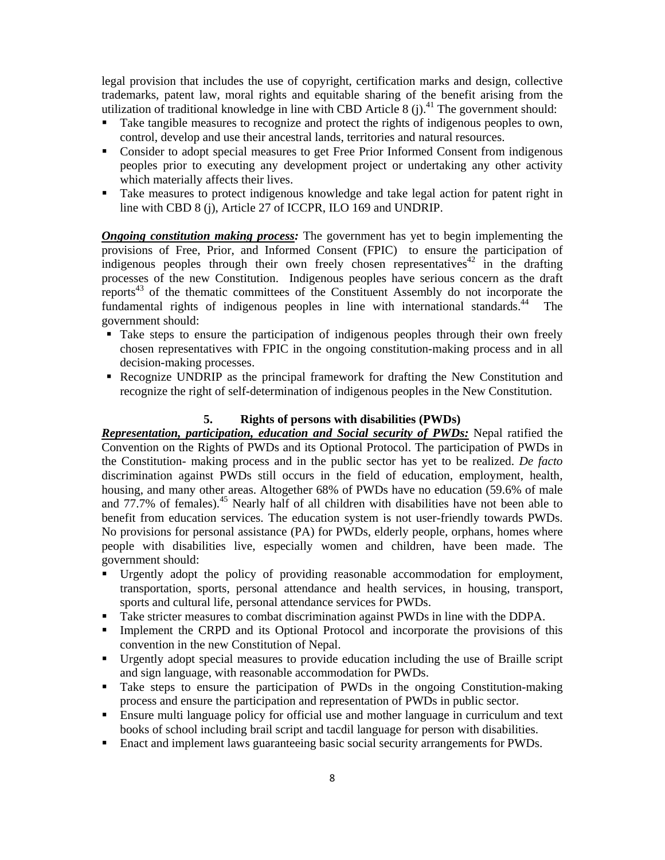legal provision that includes the use of copyright, certification marks and design, collective trademarks, patent law, moral rights and equitable sharing of the benefit arising from the utilization of traditional knowledge in line with CBD Article 8 (j).<sup>41</sup> The government should:

- Take tangible measures to recognize and protect the rights of indigenous peoples to own, control, develop and use their ancestral lands, territories and natural resources.
- Consider to adopt special measures to get Free Prior Informed Consent from indigenous peoples prior to executing any development project or undertaking any other activity which materially affects their lives.
- Take measures to protect indigenous knowledge and take legal action for patent right in line with CBD 8 (j), Article 27 of ICCPR, ILO 169 and UNDRIP.

*Ongoing constitution making process:* The government has yet to begin implementing the provisions of Free, Prior, and Informed Consent (FPIC) to ensure the participation of indigenous peoples through their own freely chosen representatives<sup>42</sup> in the drafting processes of the new Constitution. Indigenous peoples have serious concern as the draft reports<sup>43</sup> of the thematic committees of the Constituent Assembly do not incorporate the fundamental rights of indigenous peoples in line with international standards.<sup>44</sup> The government should:

- Take steps to ensure the participation of indigenous peoples through their own freely chosen representatives with FPIC in the ongoing constitution-making process and in all decision-making processes.
- Recognize UNDRIP as the principal framework for drafting the New Constitution and recognize the right of self-determination of indigenous peoples in the New Constitution.

#### **5. Rights of persons with disabilities (PWDs)**

*Representation, participation, education and Social security of PWDs:* Nepal ratified the Convention on the Rights of PWDs and its Optional Protocol. The participation of PWDs in the Constitution- making process and in the public sector has yet to be realized. *De facto* discrimination against PWDs still occurs in the field of education, employment, health, housing, and many other areas. Altogether 68% of PWDs have no education (59.6% of male and  $77.7\%$  of females).<sup>45</sup> Nearly half of all children with disabilities have not been able to benefit from education services. The education system is not user-friendly towards PWDs. No provisions for personal assistance (PA) for PWDs, elderly people, orphans, homes where people with disabilities live, especially women and children, have been made. The government should:

- Urgently adopt the policy of providing reasonable accommodation for employment, transportation, sports, personal attendance and health services, in housing, transport, sports and cultural life, personal attendance services for PWDs.
- Take stricter measures to combat discrimination against PWDs in line with the DDPA.
- **Implement the CRPD and its Optional Protocol and incorporate the provisions of this** convention in the new Constitution of Nepal.
- Urgently adopt special measures to provide education including the use of Braille script and sign language, with reasonable accommodation for PWDs.
- Take steps to ensure the participation of PWDs in the ongoing Constitution-making process and ensure the participation and representation of PWDs in public sector.
- Ensure multi language policy for official use and mother language in curriculum and text books of school including brail script and tacdil language for person with disabilities.
- Enact and implement laws guaranteeing basic social security arrangements for PWDs.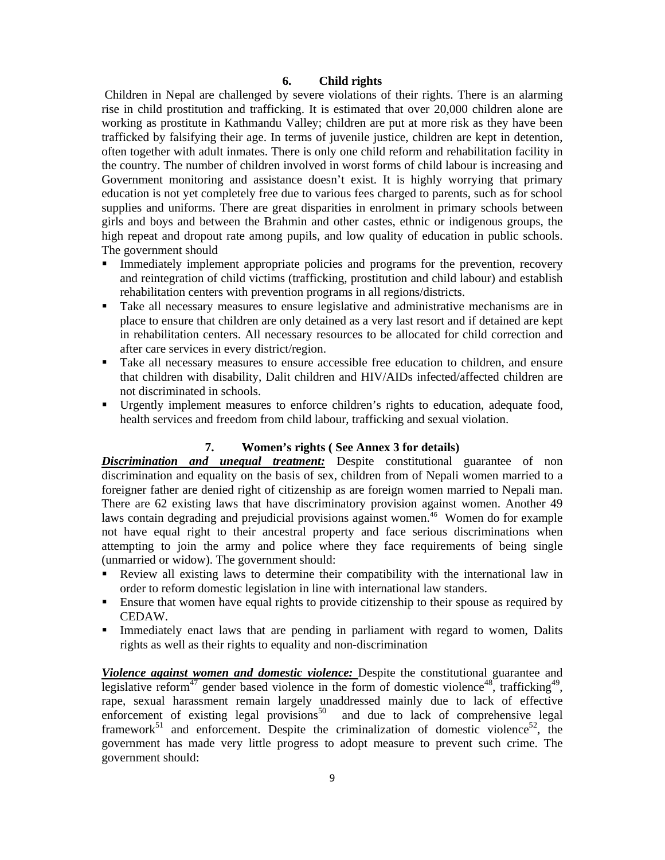## **6. Child rights**

 Children in Nepal are challenged by severe violations of their rights. There is an alarming rise in child prostitution and trafficking. It is estimated that over 20,000 children alone are working as prostitute in Kathmandu Valley; children are put at more risk as they have been trafficked by falsifying their age. In terms of juvenile justice, children are kept in detention, often together with adult inmates. There is only one child reform and rehabilitation facility in the country. The number of children involved in worst forms of child labour is increasing and Government monitoring and assistance doesn't exist. It is highly worrying that primary education is not yet completely free due to various fees charged to parents, such as for school supplies and uniforms. There are great disparities in enrolment in primary schools between girls and boys and between the Brahmin and other castes, ethnic or indigenous groups, the high repeat and dropout rate among pupils, and low quality of education in public schools. The government should

- Immediately implement appropriate policies and programs for the prevention, recovery and reintegration of child victims (trafficking, prostitution and child labour) and establish rehabilitation centers with prevention programs in all regions/districts.
- Take all necessary measures to ensure legislative and administrative mechanisms are in place to ensure that children are only detained as a very last resort and if detained are kept in rehabilitation centers. All necessary resources to be allocated for child correction and after care services in every district/region.
- Take all necessary measures to ensure accessible free education to children, and ensure that children with disability, Dalit children and HIV/AIDs infected/affected children are not discriminated in schools.
- Urgently implement measures to enforce children's rights to education, adequate food, health services and freedom from child labour, trafficking and sexual violation.

## **7. Women's rights ( See Annex 3 for details)**

*Discrimination and unequal treatment:* Despite constitutional guarantee of non discrimination and equality on the basis of sex, children from of Nepali women married to a foreigner father are denied right of citizenship as are foreign women married to Nepali man. There are 62 existing laws that have discriminatory provision against women. Another 49 laws contain degrading and prejudicial provisions against women.<sup>46</sup> Women do for example not have equal right to their ancestral property and face serious discriminations when attempting to join the army and police where they face requirements of being single (unmarried or widow). The government should:

- Review all existing laws to determine their compatibility with the international law in order to reform domestic legislation in line with international law standers.
- Ensure that women have equal rights to provide citizenship to their spouse as required by CEDAW.
- Immediately enact laws that are pending in parliament with regard to women, Dalits rights as well as their rights to equality and non-discrimination

*Violence against women and domestic violence:* Despite the constitutional guarantee and legislative reform<sup>47</sup> gender based violence in the form of domestic violence<sup>48</sup>, trafficking<sup>49</sup>, rape, sexual harassment remain largely unaddressed mainly due to lack of effective enforcement of existing legal provisions<sup>50</sup> and due to lack of comprehensive legal framework<sup>51</sup> and enforcement. Despite the criminalization of domestic violence<sup>52</sup>, the government has made very little progress to adopt measure to prevent such crime. The government should: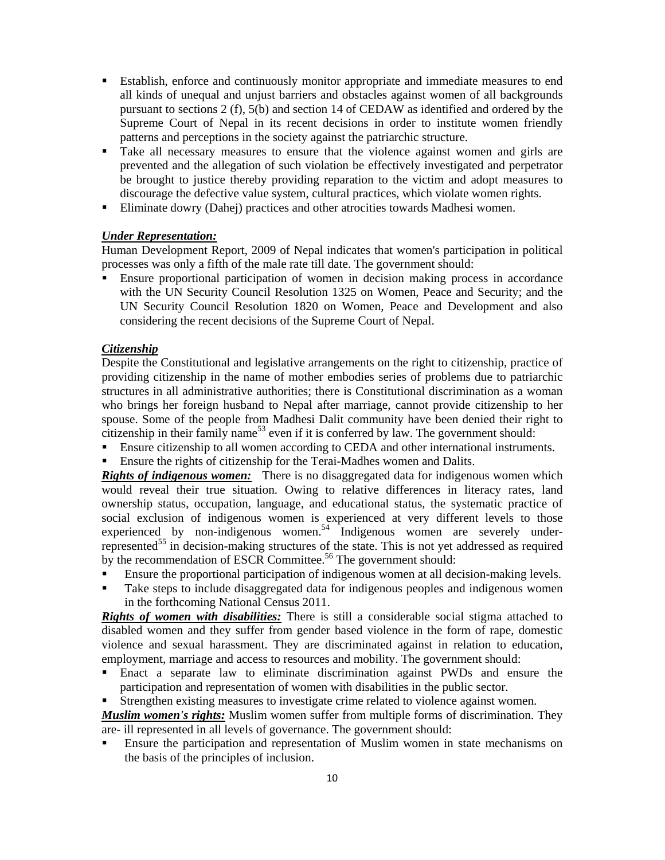- Establish, enforce and continuously monitor appropriate and immediate measures to end all kinds of unequal and unjust barriers and obstacles against women of all backgrounds pursuant to sections 2 (f), 5(b) and section 14 of CEDAW as identified and ordered by the Supreme Court of Nepal in its recent decisions in order to institute women friendly patterns and perceptions in the society against the patriarchic structure.
- Take all necessary measures to ensure that the violence against women and girls are prevented and the allegation of such violation be effectively investigated and perpetrator be brought to justice thereby providing reparation to the victim and adopt measures to discourage the defective value system, cultural practices, which violate women rights.
- Eliminate dowry (Dahej) practices and other atrocities towards Madhesi women.

## *Under Representation:*

Human Development Report, 2009 of Nepal indicates that women's participation in political processes was only a fifth of the male rate till date. The government should:

 Ensure proportional participation of women in decision making process in accordance with the UN Security Council Resolution 1325 on Women, Peace and Security; and the UN Security Council Resolution 1820 on Women, Peace and Development and also considering the recent decisions of the Supreme Court of Nepal.

## *Citizenship*

Despite the Constitutional and legislative arrangements on the right to citizenship, practice of providing citizenship in the name of mother embodies series of problems due to patriarchic structures in all administrative authorities; there is Constitutional discrimination as a woman who brings her foreign husband to Nepal after marriage, cannot provide citizenship to her spouse. Some of the people from Madhesi Dalit community have been denied their right to citizenship in their family name<sup>53</sup> even if it is conferred by law. The government should:

- **Ensure citizenship to all women according to CEDA and other international instruments.**
- Ensure the rights of citizenship for the Terai-Madhes women and Dalits.

**Rights of indigenous women:** There is no disaggregated data for indigenous women which would reveal their true situation. Owing to relative differences in literacy rates, land ownership status, occupation, language, and educational status, the systematic practice of social exclusion of indigenous women is experienced at very different levels to those experienced by non-indigenous women.<sup>54</sup> Indigenous women are severely underrepresented<sup>55</sup> in decision-making structures of the state. This is not yet addressed as required by the recommendation of ESCR Committee.<sup>56</sup> The government should:

- Ensure the proportional participation of indigenous women at all decision-making levels.
- Take steps to include disaggregated data for indigenous peoples and indigenous women in the forthcoming National Census 2011.

*Rights of women with disabilities:* There is still a considerable social stigma attached to disabled women and they suffer from gender based violence in the form of rape, domestic violence and sexual harassment. They are discriminated against in relation to education, employment, marriage and access to resources and mobility. The government should:

- Enact a separate law to eliminate discrimination against PWDs and ensure the participation and representation of women with disabilities in the public sector.
- Strengthen existing measures to investigate crime related to violence against women.

*Muslim women's rights:* Muslim women suffer from multiple forms of discrimination. They are- ill represented in all levels of governance. The government should:

 Ensure the participation and representation of Muslim women in state mechanisms on the basis of the principles of inclusion.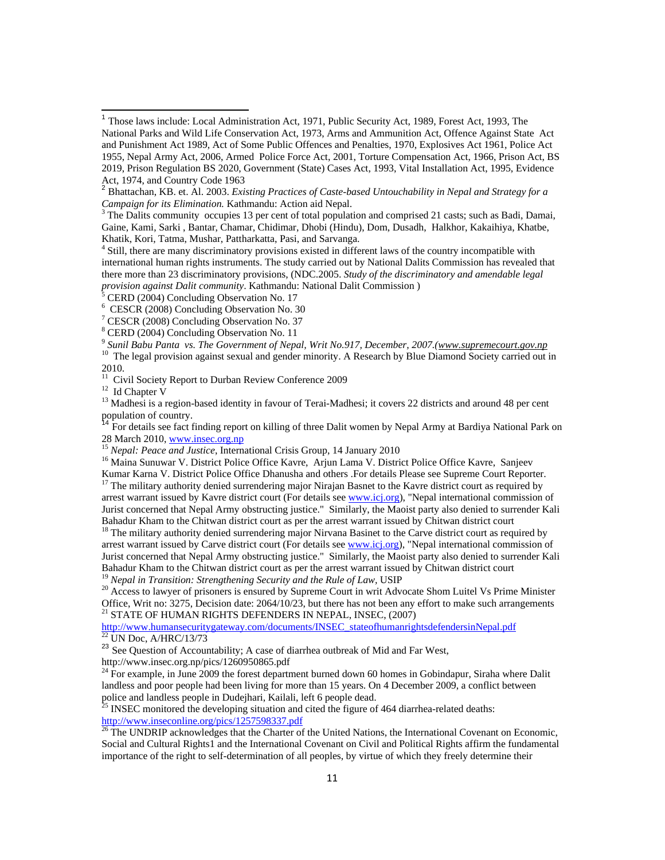CERD (2004) Concluding Observation No. 17

<u> 1989 - Andrea Albert III, martin a bh</u>

6 CESCR (2008) Concluding Observation No. 30

7 CESCR (2008) Concluding Observation No. 37

8 CERD (2004) Concluding Observation No. 11

<sup>9</sup> Sunil Babu Panta *vs. The Government of Nepal, Writ No.917, December, 2007.*(*www.supremecourt.gov.np* <sup>10</sup> The legal provision against sexual and gender minority. A Research by Blue Diamond Society carried out in 2010.

11 Civil Society Report to Durban Review Conference 2009

<sup>12</sup> Id Chapter V

<sup>13</sup> Madhesi is a region-based identity in favour of Terai-Madhesi; it covers 22 districts and around 48 per cent population of country.

<sup>14</sup> For details see fact finding report on killing of three Dalit women by Nepal Army at Bardiya National Park on 28 March 2010, <u>www.insec.org.np</u><br><sup>15</sup> *Nepal: Peace and Justice*, International Crisis Group, 14 January 2010<br><sup>16</sup> Maina Sunuwar V. District Police Office Kavre, Arjun Lama V. District Police Office Kavre, Sanjeev

Kumar Karna V. District Police Office Dhanusha and others .For details Please see Supreme Court Reporter.

 $17$  The military authority denied surrendering major Nirajan Basnet to the Kavre district court as required by arrest warrant issued by Kavre district court (For details see www.icj.org), "Nepal international commission of Jurist concerned that Nepal Army obstructing justice." Similarly, the Maoist party also denied to surrender Kali Bahadur Kham to the Chitwan district court as per the arrest warrant issued by Chitwan district court

<sup>18</sup> The military authority denied surrendering major Nirvana Basinet to the Carve district court as required by arrest warrant issued by Carve district court (For details see www.icj.org), "Nepal international commission of Jurist concerned that Nepal Army obstructing justice." Similarly, the Maoist party also denied to surrender Kali Bahadur Kham to the Chitwan district court as per the arrest warrant issued by Chitwan district court<sup>19</sup> Nepal in Transition: Strengthening Security and the Rule of Law, USIP

<sup>20</sup> Access to lawyer of prisoners is ensured by Supreme Court in writ Advocate Shom Luitel Vs Prime Minister Office, Writ no: 3275, Decision date: 2064/10/23, but there has not been any effort to make such arrangements  $^{21}$  STATE OF HUMAN RIGHTS DEFENDERS IN NEPAL, INSEC,  $\left( 2007\right)$ 

http://www.humansecuritygateway.com/documents/INSEC\_stateofhumanrightsdefendersinNepal.pdf22 UN Doc, A/HRC/13/73

<sup>23</sup> See Question of Accountability; A case of diarrhea outbreak of Mid and Far West, http://www.insec.org.np/pics/1260950865.pdf

 $24$  For example, in June 2009 the forest department burned down 60 homes in Gobindapur, Siraha where Dalit landless and poor people had been living for more than 15 years. On 4 December 2009, a conflict between police and landless people in Dudejhari, Kailali, left 6 people dead.

<sup>25</sup> INSEC monitored the developing situation and cited the figure of 464 diarrhea-related deaths: http://www.inseconline.org/pics/1257598337.pdf

<sup>26</sup> The UNDRIP acknowledges that the Charter of the United Nations, the International Covenant on Economic, Social and Cultural Rights1 and the International Covenant on Civil and Political Rights affirm the fundamental importance of the right to self-determination of all peoples, by virtue of which they freely determine their

<sup>&</sup>lt;sup>1</sup> Those laws include: Local Administration Act, 1971, Public Security Act, 1989, Forest Act, 1993, The National Parks and Wild Life Conservation Act, 1973, Arms and Ammunition Act, Offence Against State Act and Punishment Act 1989, Act of Some Public Offences and Penalties, 1970, Explosives Act 1961, Police Act 1955, Nepal Army Act, 2006, Armed Police Force Act, 2001, Torture Compensation Act, 1966, Prison Act, BS 2019, Prison Regulation BS 2020, Government (State) Cases Act, 1993, Vital Installation Act, 1995, Evidence Act, 1974, and Country Code 1963

<sup>2</sup> Bhattachan, KB. et. Al. 2003. *Existing Practices of Caste-based Untouchability in Nepal and Strategy for a Campaign for its Elimination.* Kathmandu: Action aid Nepal.

 $3$  The Dalits community occupies 13 per cent of total population and comprised 21 casts; such as Badi, Damai, Gaine, Kami, Sarki , Bantar, Chamar, Chidimar, Dhobi (Hindu), Dom, Dusadh, Halkhor, Kakaihiya, Khatbe, Khatik, Kori, Tatma, Mushar, Pattharkatta, Pasi, and Sarvanga. 4

Still, there are many discriminatory provisions existed in different laws of the country incompatible with international human rights instruments. The study carried out by National Dalits Commission has revealed that there more than 23 discriminatory provisions, (NDC.2005. *Study of the discriminatory and amendable legal provision against Dalit community*. Kathmandu: National Dalit Commission ) 5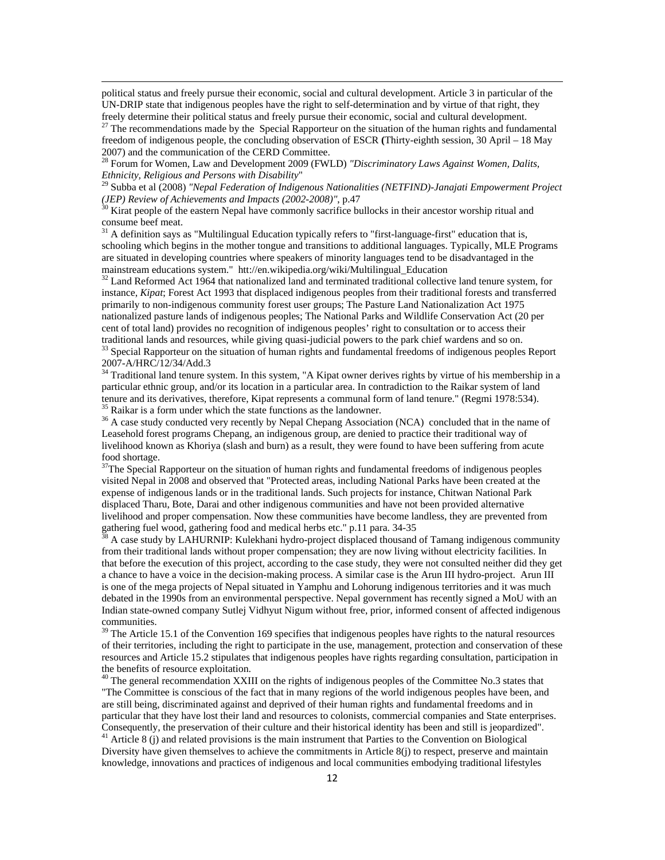political status and freely pursue their economic, social and cultural development. Article 3 in particular of the UN-DRIP state that indigenous peoples have the right to self-determination and by virtue of that right, they freely determine their political status and freely pursue their economic, social and cultural development.

27 The recommendations made by the Special Rapporteur on the situation of the human rights and fundamental freedom of indigenous people, the concluding observation of ESCR **(**Thirty-eighth session, 30 April – 18 May 2007) and the communication of the CERD Committee.

28 Forum for Women, Law and Development 2009 (FWLD) *"Discriminatory Laws Against Women, Dalits,* 

*Ethnicity, Religious and Persons with Disability*" 29 Subba et al (2008) *"Nepal Federation of Indigenous Nationalities (NETFIND)-Janajati Empowerment Project (JEP) Review of Achievements and Impacts (2002-2008)"*, p.47<br><sup>30</sup> Kirat people of the eastern Nepal have commonly sacrifice bullocks in their ancestor worship ritual and

consume beef meat.

 $31$  A definition says as "Multilingual Education typically refers to "first-language-first" education that is, schooling which begins in the mother tongue and transitions to additional languages. Typically, MLE Programs are situated in developing countries where speakers of minority languages tend to be disadvantaged in the mainstream educations system." htt://en.wikipedia.org/wiki/Multilingual\_Education

<sup>32</sup> Land Reformed Act 1964 that nationalized land and terminated traditional collective land tenure system, for instance, *Kipat*; Forest Act 1993 that displaced indigenous peoples from their traditional forests and transferred primarily to non-indigenous community forest user groups; The Pasture Land Nationalization Act 1975 nationalized pasture lands of indigenous peoples; The National Parks and Wildlife Conservation Act (20 per cent of total land) provides no recognition of indigenous peoples' right to consultation or to access their traditional lands and resources, while giving quasi-judicial powers to the park chief wardens and so on.

33 Special Rapporteur on the situation of human rights and fundamental freedoms of indigenous peoples Report 2007-A/HRC/12/34/Add.3

<sup>34</sup> Traditional land tenure system. In this system, "A Kipat owner derives rights by virtue of his membership in a particular ethnic group, and/or its location in a particular area. In contradiction to the Raikar system of land tenure and its derivatives, therefore, Kipat represents a communal form of land tenure." (Regmi 1978:534). <sup>35</sup> Raikar is a form under which the state functions as the landowner.

<sup>36</sup> A case study conducted very recently by Nepal Chepang Association (NCA) concluded that in the name of Leasehold forest programs Chepang, an indigenous group, are denied to practice their traditional way of livelihood known as Khoriya (slash and burn) as a result, they were found to have been suffering from acute food shortage.

 $37$ The Special Rapporteur on the situation of human rights and fundamental freedoms of indigenous peoples visited Nepal in 2008 and observed that "Protected areas, including National Parks have been created at the expense of indigenous lands or in the traditional lands. Such projects for instance, Chitwan National Park displaced Tharu, Bote, Darai and other indigenous communities and have not been provided alternative livelihood and proper compensation. Now these communities have become landless, they are prevented from gathering fuel wood, gathering food and medical herbs etc." p.11 para. 34-35

38 A case study by LAHURNIP: Kulekhani hydro-project displaced thousand of Tamang indigenous community from their traditional lands without proper compensation; they are now living without electricity facilities. In that before the execution of this project, according to the case study, they were not consulted neither did they get a chance to have a voice in the decision-making process. A similar case is the Arun III hydro-project. Arun III is one of the mega projects of Nepal situated in Yamphu and Lohorung indigenous territories and it was much debated in the 1990s from an environmental perspective. Nepal government has recently signed a MoU with an Indian state-owned company Sutlej Vidhyut Nigum without free, prior, informed consent of affected indigenous communities.

 $39$  The Article 15.1 of the Convention 169 specifies that indigenous peoples have rights to the natural resources of their territories, including the right to participate in the use, management, protection and conservation of these resources and Article 15.2 stipulates that indigenous peoples have rights regarding consultation, participation in the benefits of resource exploitation.

<sup>40</sup> The general recommendation XXIII on the rights of indigenous peoples of the Committee No.3 states that "The Committee is conscious of the fact that in many regions of the world indigenous peoples have been, and are still being, discriminated against and deprived of their human rights and fundamental freedoms and in particular that they have lost their land and resources to colonists, commercial companies and State enterprises. Consequently, the preservation of their culture and their historical identity has been and still is jeopardized".

<sup>41</sup> Article 8 (j) and related provisions is the main instrument that Parties to the Convention on Biological Diversity have given themselves to achieve the commitments in Article  $8(i)$  to respect, preserve and maintain knowledge, innovations and practices of indigenous and local communities embodying traditional lifestyles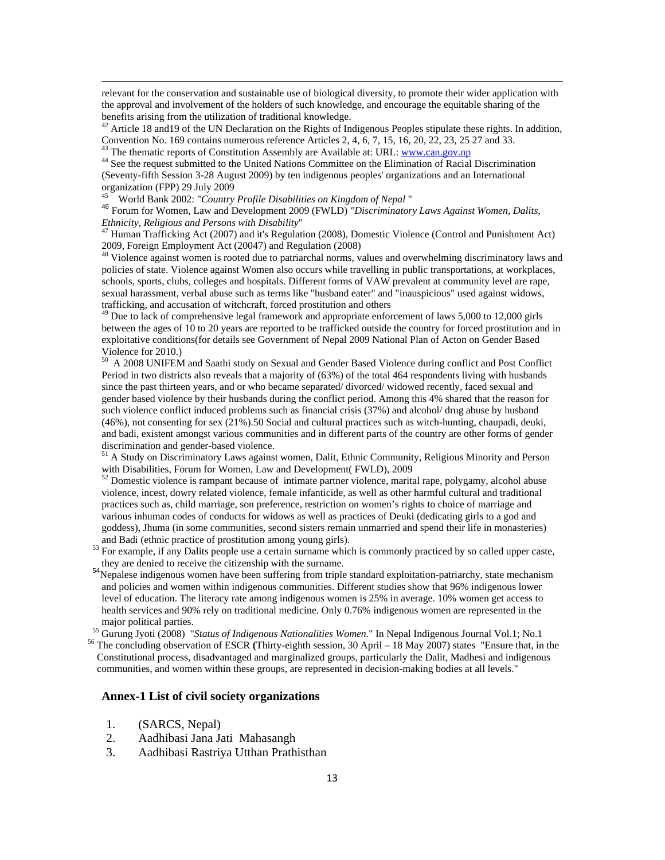relevant for the conservation and sustainable use of biological diversity, to promote their wider application with the approval and involvement of the holders of such knowledge, and encourage the equitable sharing of the benefits arising from the utilization of traditional knowledge.

Article 18 and 19 of the UN Declaration on the Rights of Indigenous Peoples stipulate these rights. In addition, Convention No. 169 contains numerous reference Articles 2, 4, 6, 7, 15, 16, 20, 22, 23, 25 27 and 33.<br><sup>43</sup> The thematic reports of Constitution Assembly are Available at: URL: <u>www.can.gov.np</u>

<sup>44</sup> See the request submitted to the United Nations Committee on the Elimination of Racial Discrimination (Seventy-fifth Session 3-28 August 2009) by ten indigenous peoples' organizations and an International organization (FPP) 29 July 2009<br><sup>45</sup> World Bank 2002: "Country Profile Disabilities on Kingdom of Nepal "

<sup>46</sup> Forum for Women, Law and Development 2009 (FWLD) *"Discriminatory Laws Against Women, Dalits, Ethnicity, Religious and Persons with Disability"* 

<sup>47</sup> Human Trafficking Act (2007) and it's Regulation (2008), Domestic Violence (Control and Punishment Act) 2009, Foreign Employment Act (20047) and Regulation (2008)

<sup>48</sup> Violence against women is rooted due to patriarchal norms, values and overwhelming discriminatory laws and policies of state. Violence against Women also occurs while travelling in public transportations, at workplaces, schools, sports, clubs, colleges and hospitals. Different forms of VAW prevalent at community level are rape, sexual harassment, verbal abuse such as terms like "husband eater" and "inauspicious" used against widows, trafficking, and accusation of witchcraft, forced prostitution and others

<sup>49</sup> Due to lack of comprehensive legal framework and appropriate enforcement of laws 5,000 to 12,000 girls between the ages of 10 to 20 years are reported to be trafficked outside the country for forced prostitution and in exploitative conditions(for details see Government of Nepal 2009 National Plan of Acton on Gender Based Violence for 2010.)

50 A 2008 UNIFEM and Saathi study on Sexual and Gender Based Violence during conflict and Post Conflict Period in two districts also reveals that a majority of (63%) of the total 464 respondents living with husbands since the past thirteen years, and or who became separated/ divorced/ widowed recently, faced sexual and gender based violence by their husbands during the conflict period. Among this 4% shared that the reason for such violence conflict induced problems such as financial crisis (37%) and alcohol/ drug abuse by husband (46%), not consenting for sex (21%).50 Social and cultural practices such as witch-hunting, chaupadi, deuki, and badi, existent amongst various communities and in different parts of the country are other forms of gender discrimination and gender-based violence.

51 A Study on Discriminatory Laws against women, Dalit, Ethnic Community, Religious Minority and Person with Disabilities, Forum for Women, Law and Development( FWLD), 2009

<sup>52</sup> Domestic violence is rampant because of intimate partner violence, marital rape, polygamy, alcohol abuse violence, incest, dowry related violence, female infanticide, as well as other harmful cultural and traditional practices such as, child marriage, son preference, restriction on women's rights to choice of marriage and various inhuman codes of conducts for widows as well as practices of Deuki (dedicating girls to a god and goddess), Jhuma (in some communities, second sisters remain unmarried and spend their life in monasteries)

- and Badi (ethnic practice of prostitution among young girls).<br><sup>53</sup> For example, if any Dalits people use a certain surname which is commonly practiced by so called upper caste,
- they are denied to receive the citizenship with the surname.<br><sup>54</sup>Nepalese indigenous women have been suffering from triple standard exploitation-patriarchy, state mechanism and policies and women within indigenous communities. Different studies show that 96% indigenous lower level of education. The literacy rate among indigenous women is 25% in average. 10% women get access to health services and 90% rely on traditional medicine. Only 0.76% indigenous women are represented in the

major political parties.<br><sup>55</sup> Gurung Jyoti (2008) "*Status of Indigenous Nationalities Women*." In Nepal Indigenous Journal Vol.1; No.1<br><sup>6</sup> The concluding observation of ESCR (Thirty-eighth session, 30 April – 18 May 2007

Constitutional process, disadvantaged and marginalized groups, particularly the Dalit, Madhesi and indigenous communities, and women within these groups, are represented in decision-making bodies at all levels."

#### **Annex-1 List of civil society organizations**

- 1. (SARCS, Nepal)
- 2. Aadhibasi Jana Jati Mahasangh
- 3. Aadhibasi Rastriya Utthan Prathisthan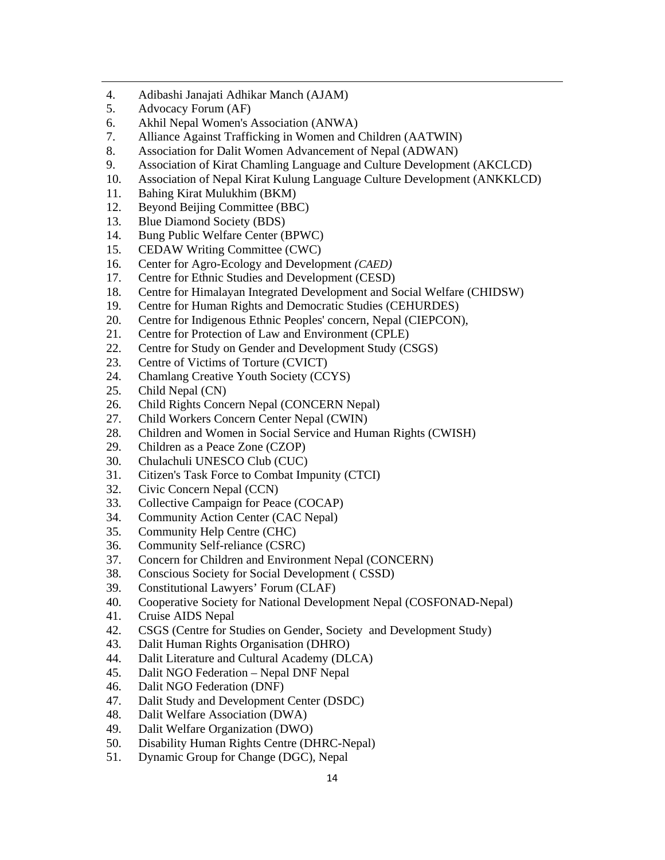- 4. Adibashi Janajati Adhikar Manch (AJAM)
- 5. Advocacy Forum (AF)
- 6. Akhil Nepal Women's Association (ANWA)
- 7. Alliance Against Trafficking in Women and Children (AATWIN)
- 8. Association for Dalit Women Advancement of Nepal (ADWAN)
- 9. Association of Kirat Chamling Language and Culture Development (AKCLCD)

- 10. Association of Nepal Kirat Kulung Language Culture Development (ANKKLCD)
- 11. Bahing Kirat Mulukhim (BKM)
- 12. Beyond Beijing Committee (BBC)
- 13. Blue Diamond Society (BDS)
- 14. Bung Public Welfare Center (BPWC)
- 15. CEDAW Writing Committee (CWC)
- 16. Center for Agro-Ecology and Development *(CAED)*
- 17. Centre for Ethnic Studies and Development (CESD)
- 18. Centre for Himalayan Integrated Development and Social Welfare (CHIDSW)
- 19. Centre for Human Rights and Democratic Studies (CEHURDES)
- 20. Centre for Indigenous Ethnic Peoples' concern, Nepal (CIEPCON),
- 21. Centre for Protection of Law and Environment (CPLE)
- 22. Centre for Study on Gender and Development Study (CSGS)
- 23. Centre of Victims of Torture (CVICT)
- 24. Chamlang Creative Youth Society (CCYS)
- 25. Child Nepal (CN)
- 26. Child Rights Concern Nepal (CONCERN Nepal)
- 27. Child Workers Concern Center Nepal (CWIN)
- 28. Children and Women in Social Service and Human Rights (CWISH)
- 29. Children as a Peace Zone (CZOP)
- 30. Chulachuli UNESCO Club (CUC)
- 31. Citizen's Task Force to Combat Impunity (CTCI)
- 32. Civic Concern Nepal (CCN)
- 33. Collective Campaign for Peace (COCAP)
- 34. Community Action Center (CAC Nepal)
- 35. Community Help Centre (CHC)
- 36. Community Self-reliance (CSRC)
- 37. Concern for Children and Environment Nepal (CONCERN)
- 38. Conscious Society for Social Development ( CSSD)
- 39. Constitutional Lawyers' Forum (CLAF)
- 40. Cooperative Society for National Development Nepal (COSFONAD-Nepal)
- 41. Cruise AIDS Nepal
- 42. CSGS (Centre for Studies on Gender, Society and Development Study)
- 43. Dalit Human Rights Organisation (DHRO)
- 44. Dalit Literature and Cultural Academy (DLCA)
- 45. Dalit NGO Federation Nepal DNF Nepal
- 46. Dalit NGO Federation (DNF)
- 47. Dalit Study and Development Center (DSDC)
- 48. Dalit Welfare Association (DWA)
- 49. Dalit Welfare Organization (DWO)
- 50. Disability Human Rights Centre (DHRC-Nepal)
- 51. Dynamic Group for Change (DGC), Nepal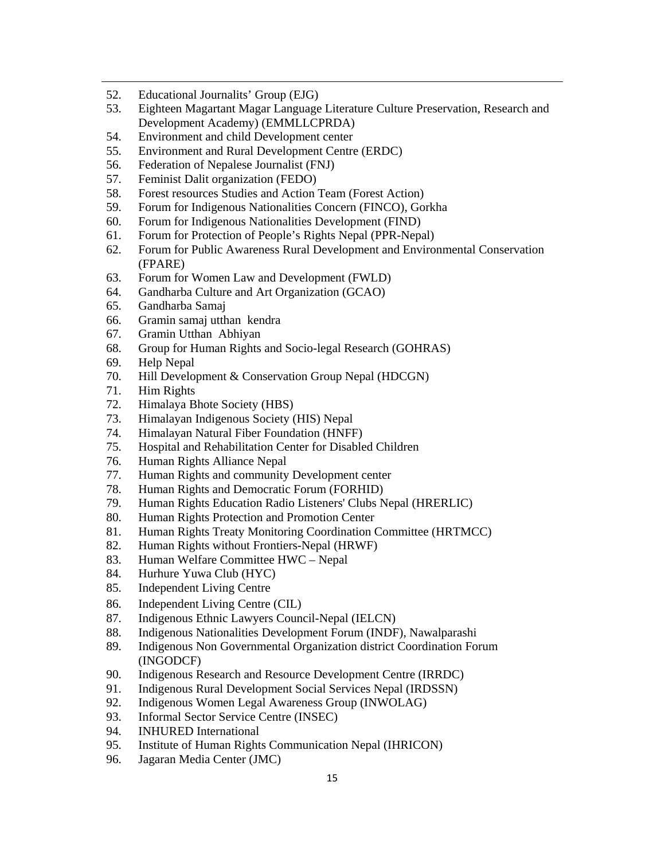- 52. Educational Journalits' Group (EJG)
- 53. Eighteen Magartant Magar Language Literature Culture Preservation, Research and Development Academy) (EMMLLCPRDA)

- 54. Environment and child Development center
- 55. Environment and Rural Development Centre (ERDC)
- 56. Federation of Nepalese Journalist (FNJ)
- 57. Feminist Dalit organization (FEDO)
- 58. Forest resources Studies and Action Team (Forest Action)
- 59. Forum for Indigenous Nationalities Concern (FINCO), Gorkha
- 60. Forum for Indigenous Nationalities Development (FIND)
- 61. Forum for Protection of People's Rights Nepal (PPR-Nepal)
- 62. Forum for Public Awareness Rural Development and Environmental Conservation (FPARE)
- 63. Forum for Women Law and Development (FWLD)
- 64. Gandharba Culture and Art Organization (GCAO)
- 65. Gandharba Samaj
- 66. Gramin samaj utthan kendra
- 67. Gramin Utthan Abhiyan
- 68. Group for Human Rights and Socio-legal Research (GOHRAS)
- 69. Help Nepal
- 70. Hill Development & Conservation Group Nepal (HDCGN)
- 71. Him Rights
- 72. Himalaya Bhote Society (HBS)
- 73. Himalayan Indigenous Society (HIS) Nepal
- 74. Himalayan Natural Fiber Foundation (HNFF)
- 75. Hospital and Rehabilitation Center for Disabled Children
- 76. Human Rights Alliance Nepal
- 77. Human Rights and community Development center
- 78. Human Rights and Democratic Forum (FORHID)
- 79. Human Rights Education Radio Listeners' Clubs Nepal (HRERLIC)
- 80. Human Rights Protection and Promotion Center
- 81. Human Rights Treaty Monitoring Coordination Committee (HRTMCC)
- 82. Human Rights without Frontiers-Nepal (HRWF)
- 83. Human Welfare Committee HWC Nepal
- 84. Hurhure Yuwa Club (HYC)
- 85. Independent Living Centre
- 86. Independent Living Centre (CIL)
- 87. Indigenous Ethnic Lawyers Council-Nepal (IELCN)
- 88. Indigenous Nationalities Development Forum (INDF), Nawalparashi
- 89. Indigenous Non Governmental Organization district Coordination Forum (INGODCF)
- 90. Indigenous Research and Resource Development Centre (IRRDC)
- 91. Indigenous Rural Development Social Services Nepal (IRDSSN)
- 92. Indigenous Women Legal Awareness Group (INWOLAG)
- 93. Informal Sector Service Centre (INSEC)
- 94. INHURED International
- 95. Institute of Human Rights Communication Nepal (IHRICON)
- 96. Jagaran Media Center (JMC)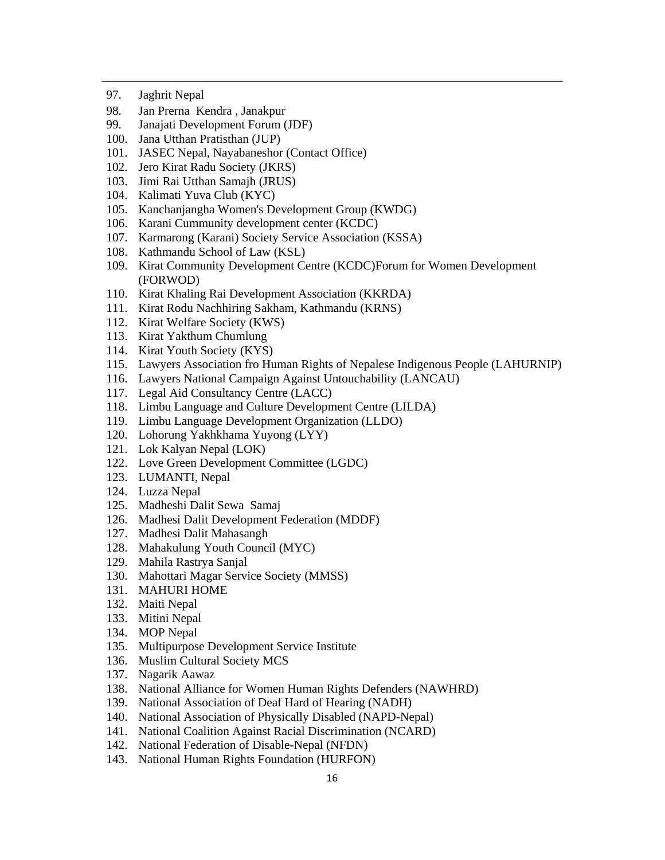- 97. Jaghrit Nepal
- 98. Jan Prerna Kendra , Janakpur
- 99. Janajati Development Forum (JDF)
- 100. Jana Utthan Pratisthan (JUP)
- 101. JASEC Nepal, Nayabaneshor (Contact Office)
- 102. Jero Kirat Radu Society (JKRS)
- 103. Jimi Rai Utthan Samajh (JRUS)
- 104. Kalimati Yuva Club (KYC)
- 105. Kanchanjangha Women's Development Group (KWDG)
- 106. Karani Cummunity development center (KCDC)
- 107. Karmarong (Karani) Society Service Association (KSSA)
- 108. Kathmandu School of Law (KSL)
- 109. Kirat Community Development Centre (KCDC)Forum for Women Development (FORWOD)

- 110. Kirat Khaling Rai Development Association (KKRDA)
- 111. Kirat Rodu Nachhiring Sakham, Kathmandu (KRNS)
- 112. Kirat Welfare Society (KWS)
- 113. Kirat Yakthum Chumlung
- 114. Kirat Youth Society (KYS)
- 115. Lawyers Association fro Human Rights of Nepalese Indigenous People (LAHURNIP)
- 116. Lawyers National Campaign Against Untouchability (LANCAU)
- 117. Legal Aid Consultancy Centre (LACC)
- 118. Limbu Language and Culture Development Centre (LILDA)
- 119. Limbu Language Development Organization (LLDO)
- 120. Lohorung Yakhkhama Yuyong (LYY)
- 121. Lok Kalyan Nepal (LOK)
- 122. Love Green Development Committee (LGDC)
- 123. LUMANTI, Nepal
- 124. Luzza Nepal
- 125. Madheshi Dalit Sewa Samaj
- 126. Madhesi Dalit Development Federation (MDDF)
- 127. Madhesi Dalit Mahasangh
- 128. Mahakulung Youth Council (MYC)
- 129. Mahila Rastrya Sanjal
- 130. Mahottari Magar Service Society (MMSS)
- 131. MAHURI HOME
- 132. Maiti Nepal
- 133. Mitini Nepal
- 134. MOP Nepal
- 135. Multipurpose Development Service Institute
- 136. Muslim Cultural Society MCS
- 137. Nagarik Aawaz
- 138. National Alliance for Women Human Rights Defenders (NAWHRD)
- 139. National Association of Deaf Hard of Hearing (NADH)
- 140. National Association of Physically Disabled (NAPD-Nepal)
- 141. National Coalition Against Racial Discrimination (NCARD)
- 142. National Federation of Disable-Nepal (NFDN)
- 143. National Human Rights Foundation (HURFON)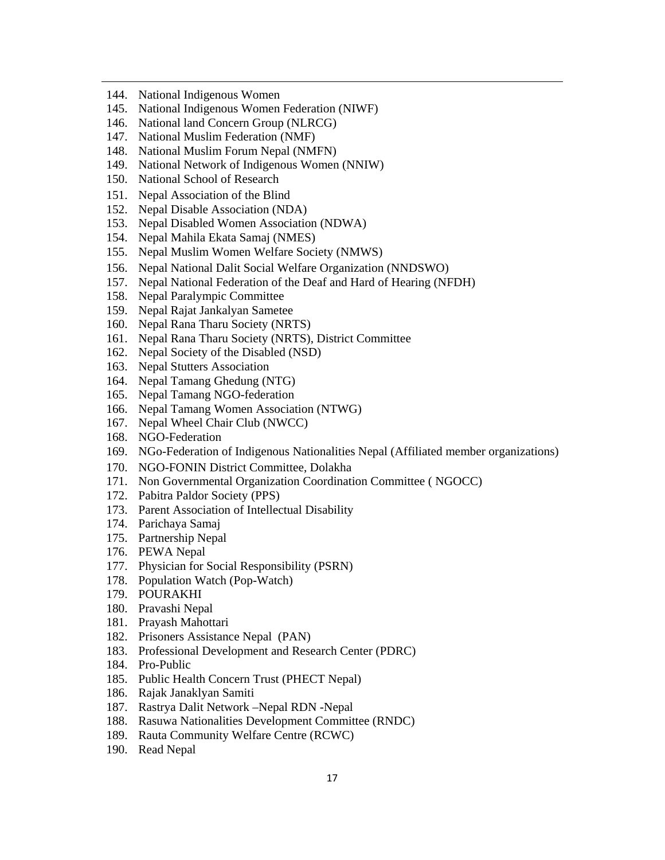- 144. National Indigenous Women
- 145. National Indigenous Women Federation (NIWF)
- 146. National land Concern Group (NLRCG)
- 147. National Muslim Federation (NMF)
- 148. National Muslim Forum Nepal (NMFN)
- 149. National Network of Indigenous Women (NNIW)
- 150. National School of Research
- 151. Nepal Association of the Blind
- 152. Nepal Disable Association (NDA)
- 153. Nepal Disabled Women Association (NDWA)
- 154. Nepal Mahila Ekata Samaj (NMES)
- 155. Nepal Muslim Women Welfare Society (NMWS)
- 156. Nepal National Dalit Social Welfare Organization (NNDSWO)
- 157. Nepal National Federation of the Deaf and Hard of Hearing (NFDH)
- 158. Nepal Paralympic Committee
- 159. Nepal Rajat Jankalyan Sametee
- 160. Nepal Rana Tharu Society (NRTS)
- 161. Nepal Rana Tharu Society (NRTS), District Committee
- 162. Nepal Society of the Disabled (NSD)
- 163. Nepal Stutters Association
- 164. Nepal Tamang Ghedung (NTG)
- 165. Nepal Tamang NGO-federation
- 166. Nepal Tamang Women Association (NTWG)
- 167. Nepal Wheel Chair Club (NWCC)
- 168. NGO-Federation
- 169. NGo-Federation of Indigenous Nationalities Nepal (Affiliated member organizations)

- 170. NGO-FONIN District Committee, Dolakha
- 171. Non Governmental Organization Coordination Committee ( NGOCC)
- 172. Pabitra Paldor Society (PPS)
- 173. Parent Association of Intellectual Disability
- 174. Parichaya Samaj
- 175. Partnership Nepal
- 176. PEWA Nepal
- 177. Physician for Social Responsibility (PSRN)
- 178. Population Watch (Pop-Watch)
- 179. POURAKHI
- 180. Pravashi Nepal
- 181. Prayash Mahottari
- 182. Prisoners Assistance Nepal (PAN)
- 183. Professional Development and Research Center (PDRC)
- 184. Pro-Public
- 185. Public Health Concern Trust (PHECT Nepal)
- 186. Rajak Janaklyan Samiti
- 187. Rastrya Dalit Network –Nepal RDN -Nepal
- 188. Rasuwa Nationalities Development Committee (RNDC)
- 189. Rauta Community Welfare Centre (RCWC)
- 190. Read Nepal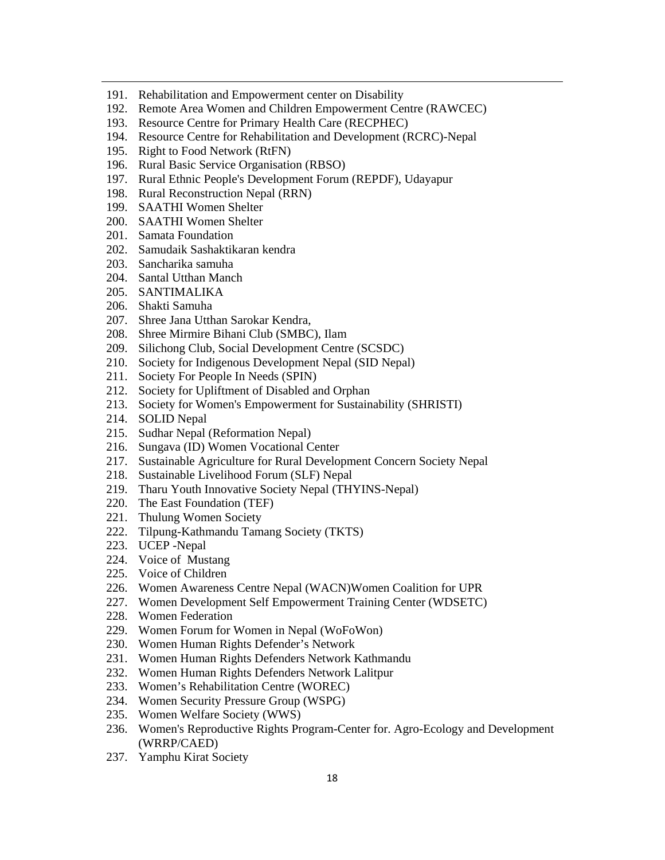- 191. Rehabilitation and Empowerment center on Disability
- 192. Remote Area Women and Children Empowerment Centre (RAWCEC)

- 193. Resource Centre for Primary Health Care (RECPHEC)
- 194. Resource Centre for Rehabilitation and Development (RCRC)-Nepal
- 195. Right to Food Network (RtFN)
- 196. Rural Basic Service Organisation (RBSO)
- 197. Rural Ethnic People's Development Forum (REPDF), Udayapur
- 198. Rural Reconstruction Nepal (RRN)
- 199. SAATHI Women Shelter
- 200. SAATHI Women Shelter
- 201. Samata Foundation
- 202. Samudaik Sashaktikaran kendra
- 203. Sancharika samuha
- 204. Santal Utthan Manch
- 205. SANTIMALIKA
- 206. Shakti Samuha
- 207. Shree Jana Utthan Sarokar Kendra,
- 208. Shree Mirmire Bihani Club (SMBC), Ilam
- 209. Silichong Club, Social Development Centre (SCSDC)
- 210. Society for Indigenous Development Nepal (SID Nepal)
- 211. Society For People In Needs (SPIN)
- 212. Society for Upliftment of Disabled and Orphan
- 213. Society for Women's Empowerment for Sustainability (SHRISTI)
- 214. SOLID Nepal
- 215. Sudhar Nepal (Reformation Nepal)
- 216. Sungava (ID) Women Vocational Center
- 217. Sustainable Agriculture for Rural Development Concern Society Nepal
- 218. Sustainable Livelihood Forum (SLF) Nepal
- 219. Tharu Youth Innovative Society Nepal (THYINS-Nepal)
- 220. The East Foundation (TEF)
- 221. Thulung Women Society
- 222. Tilpung-Kathmandu Tamang Society (TKTS)
- 223. UCEP -Nepal
- 224. Voice of Mustang
- 225. Voice of Children
- 226. Women Awareness Centre Nepal (WACN)Women Coalition for UPR
- 227. Women Development Self Empowerment Training Center (WDSETC)
- 228. Women Federation
- 229. Women Forum for Women in Nepal (WoFoWon)
- 230. Women Human Rights Defender's Network
- 231. Women Human Rights Defenders Network Kathmandu
- 232. Women Human Rights Defenders Network Lalitpur
- 233. Women's Rehabilitation Centre (WOREC)
- 234. Women Security Pressure Group (WSPG)
- 235. Women Welfare Society (WWS)
- 236. Women's Reproductive Rights Program-Center for. Agro-Ecology and Development (WRRP/CAED)
- 237. Yamphu Kirat Society